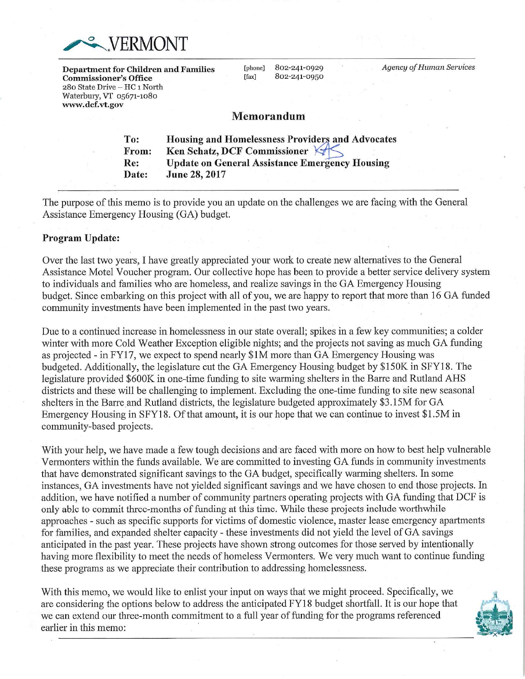

Department for Children and Families **Commissioner's Office** 280 State Drive - HC 1 North Waterbury, VT 05671-1080 www.dcf.vt.gov

802-241-0929 [phone] 802-241-0950 [fax]

**Agency of Human Services** 

# Memorandum

To: **Housing and Homelessness Providers and Advocates** From: Ken Schatz, DCF Commissioner **Update on General Assistance Emergency Housing** Re: Date: June 28, 2017

The purpose of this memo is to provide you an update on the challenges we are facing with the General Assistance Emergency Housing (GA) budget.

### Program Update:

Over the last two years. I have greatly appreciated your work to create new alternatives to the General Assistance Motel Voucher program. Our collective hope has been to provide a better service delivery system to individuals and families who are homeless, and realize savings in the GA Emergency Housing budget. Since embarking on this project with all of you, we are happy to report that more than 16 GA funded community investments have been implemented in the past two years.

Due to a continued increase in homelessness in our state overall; spikes in a few key communities; a colder winter with more Cold Weather Exception eligible nights; and the projects not saving as much GA funding as projected - in FY17, we expect to spend nearly \$1M more than GA Emergency Housing was budgeted. Additionally, the legislature cut the GA Emergency Housing budget by \$150K in SFY18. The legislature provided \$600K in one-time funding to site warming shelters in the Barre and Rutland AHS districts and these will be challenging to implement. Excluding the one-time funding to site new seasonal shelters in the Barre and Rutland districts, the legislature budgeted approximately \$3.15M for GA Emergency Housing in SFY18. Of that amount, it is our hope that we can continue to invest \$1.5M in community-based projects.

With your help, we have made a few tough decisions and are faced with more on how to best help vulnerable Vermonters within the funds available. We are committed to investing GA funds in community investments that have demonstrated significant savings to the GA budget, specifically warming shelters. In some instances, GA investments have not yielded significant savings and we have chosen to end those projects. In addition, we have notified a number of community partners operating projects with GA funding that DCF is only able to commit three-months of funding at this time. While these projects include worthwhile approaches - such as specific supports for victims of domestic violence, master lease emergency apartments for families, and expanded shelter capacity - these investments did not yield the level of GA savings anticipated in the past year. These projects have shown strong outcomes for those served by intentionally having more flexibility to meet the needs of homeless Vermonters. We very much want to continue funding these programs as we appreciate their contribution to addressing homelessness.

With this memo, we would like to enlist your input on ways that we might proceed. Specifically, we are considering the options below to address the anticipated FY18 budget shortfall. It is our hope that we can extend our three-month commitment to a full year of funding for the programs referenced earlier in this memo:

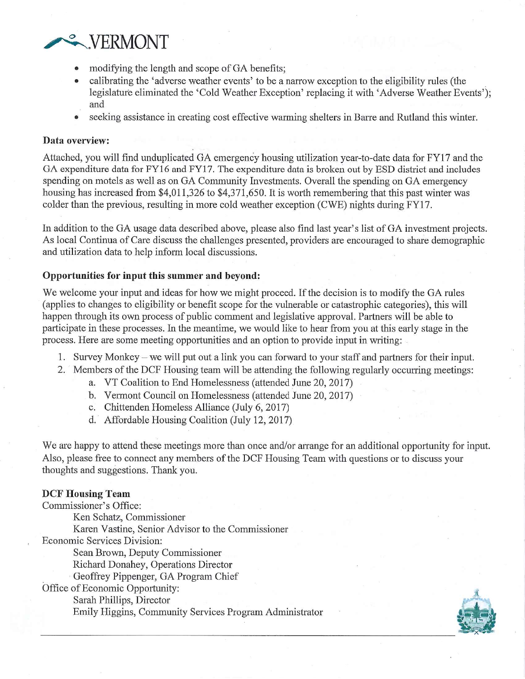

- modifying the length and scope of GA benefits:
- calibrating the 'adverse weather events' to be a narrow exception to the eligibility rules (the legislature eliminated the 'Cold Weather Exception' replacing it with 'Adverse Weather Events'); and
- seeking assistance in creating cost effective warming shelters in Barre and Rutland this winter.

#### Data overview:

Attached, you will find unduplicated GA emergency housing utilization year-to-date data for FY17 and the GA expenditure data for FY16 and FY17. The expenditure data is broken out by ESD district and includes spending on motels as well as on GA Community Investments. Overall the spending on GA emergency housing has increased from \$4,011,326 to \$4,371,650. It is worth remembering that this past winter was colder than the previous, resulting in more cold weather exception (CWE) nights during FY17.

In addition to the GA usage data described above, please also find last year's list of GA investment projects. As local Continua of Care discuss the challenges presented, providers are encouraged to share demographic and utilization data to help inform local discussions.

## Opportunities for input this summer and beyond:

We welcome your input and ideas for how we might proceed. If the decision is to modify the GA rules (applies to changes to eligibility or benefit scope for the vulnerable or catastrophic categories), this will happen through its own process of public comment and legislative approval. Partners will be able to participate in these processes. In the meantime, we would like to hear from you at this early stage in the process. Here are some meeting opportunities and an option to provide input in writing:

- 1. Survey Monkey we will put out a link you can forward to your staff and partners for their input.
- 2. Members of the DCF Housing team will be attending the following regularly occurring meetings:
	- a. VT Coalition to End Homelessness (attended June 20, 2017)
	- b. Vermont Council on Homelessness (attended June 20, 2017)
	- c. Chittenden Homeless Alliance (July 6, 2017)
	- d. Affordable Housing Coalition (July 12, 2017)

We are happy to attend these meetings more than once and/or arrange for an additional opportunity for input. Also, please free to connect any members of the DCF Housing Team with questions or to discuss your thoughts and suggestions. Thank you.

# **DCF Housing Team**

Commissioner's Office:

Ken Schatz, Commissioner

Karen Vastine, Senior Advisor to the Commissioner

Economic Services Division:

Sean Brown, Deputy Commissioner

Richard Donahey, Operations Director

Geoffrey Pippenger, GA Program Chief

Office of Economic Opportunity:

Sarah Phillips, Director

Emily Higgins, Community Services Program Administrator

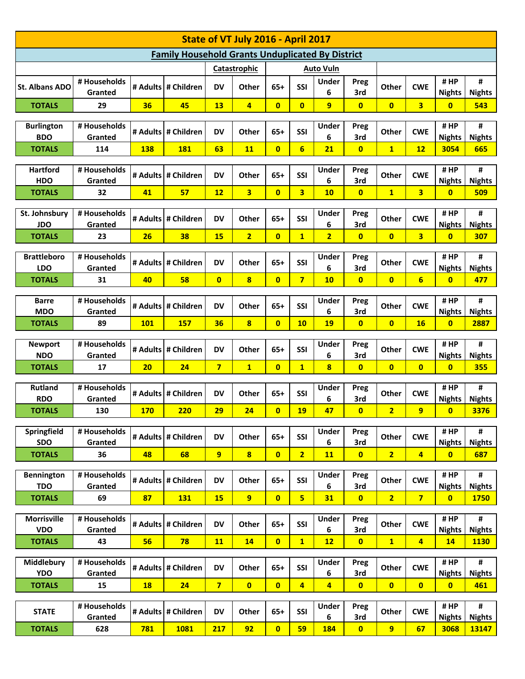| State of VT July 2016 - April 2017                      |                                  |            |                     |                |                         |                         |                         |                         |                                |                |                         |                                 |                      |
|---------------------------------------------------------|----------------------------------|------------|---------------------|----------------|-------------------------|-------------------------|-------------------------|-------------------------|--------------------------------|----------------|-------------------------|---------------------------------|----------------------|
| <b>Family Household Grants Unduplicated By District</b> |                                  |            |                     |                |                         |                         |                         |                         |                                |                |                         |                                 |                      |
|                                                         | Catastrophic<br><b>Auto Vuln</b> |            |                     |                |                         |                         |                         |                         |                                |                |                         |                                 |                      |
| St. Albans ADO                                          | # Households<br>Granted          |            | # Adults # Children | <b>DV</b>      | Other                   | $65+$                   | SSI                     | <b>Under</b><br>6       | Preg<br>3rd                    | <b>Other</b>   | <b>CWE</b>              | #HP<br><b>Nights</b>            | #<br><b>Nights</b>   |
| <b>TOTALS</b>                                           | 29                               | 36         | 45                  | 13             | $\overline{4}$          | $\overline{0}$          | $\overline{0}$          | $\overline{9}$          | $\mathbf{0}$                   | $\overline{0}$ | $\overline{\mathbf{3}}$ | $\overline{\mathbf{0}}$         | 543                  |
|                                                         |                                  |            |                     |                |                         |                         |                         |                         |                                |                |                         |                                 | #                    |
| <b>Burlington</b><br><b>BDO</b>                         | # Households<br>Granted          |            | # Adults # Children | <b>DV</b>      | Other                   | $65+$                   | SSI                     | Under<br>6              | Preg<br>3rd                    | <b>Other</b>   | <b>CWE</b>              | #HP<br><b>Nights</b>            | <b>Nights</b>        |
| <b>TOTALS</b>                                           | 114                              | <b>138</b> | <b>181</b>          | 63             | <b>11</b>               | $\mathbf{0}$            | $6\overline{6}$         | 21                      | $\mathbf{0}$                   | $\mathbf{1}$   | 12                      | 3054                            | 665                  |
|                                                         |                                  |            |                     |                |                         |                         |                         |                         |                                |                |                         |                                 |                      |
| <b>Hartford</b>                                         | # Households                     |            | # Adults # Children | <b>DV</b>      | <b>Other</b>            | $65+$                   | SSI                     | Under                   | Preg                           | <b>Other</b>   | <b>CWE</b>              | #HP                             | #                    |
| <b>HDO</b>                                              | Granted                          |            |                     |                |                         | $\overline{0}$          |                         | 6                       | 3rd                            |                |                         | <b>Nights</b>                   | <b>Nights</b>        |
| <b>TOTALS</b>                                           | 32                               | 41         | 57                  | 12             | $\overline{\mathbf{3}}$ |                         | $\overline{\mathbf{3}}$ | 10                      | $\mathbf{0}$                   | $\mathbf{1}$   | $\overline{\mathbf{3}}$ | $\mathbf{0}$                    | <b>509</b>           |
| St. Johnsbury<br><b>JDO</b>                             | # Households<br>Granted          |            | # Adults # Children | <b>DV</b>      | Other                   | $65+$                   | SSI                     | Under<br>6              | Preg<br>3rd                    | Other          | <b>CWE</b>              | #HP<br><b>Nights</b>            | #<br><b>Nights</b>   |
| <b>TOTALS</b>                                           | 23                               | 26         | 38                  | <b>15</b>      | $\overline{2}$          | $\overline{0}$          | $\mathbf{1}$            | $\overline{2}$          | $\mathbf{0}$                   | $\overline{0}$ | $\overline{\mathbf{3}}$ | $\bf{0}$                        | 307                  |
|                                                         |                                  |            |                     |                |                         |                         |                         |                         |                                |                |                         |                                 |                      |
| <b>Brattleboro</b>                                      | # Households                     |            | # Adults # Children | <b>DV</b>      | <b>Other</b>            | $65+$                   | SSI                     | <b>Under</b>            | Preg                           | <b>Other</b>   | <b>CWE</b>              | #HP                             | #                    |
| <b>LDO</b>                                              | Granted                          |            |                     |                |                         |                         |                         | 6                       | 3rd                            |                |                         | <b>Nights</b>                   | <b>Nights</b>        |
| <b>TOTALS</b>                                           | 31                               | 40         | 58                  | $\overline{0}$ | 8                       | $\overline{0}$          | $\overline{7}$          | 10                      | $\mathbf{0}$                   | $\overline{0}$ | $6\overline{}$          | $\mathbf{0}$                    | 477                  |
| <b>Barre</b>                                            | # Households                     |            |                     |                |                         |                         |                         | Under                   | Preg                           |                |                         | #HP                             | #                    |
| <b>MDO</b>                                              | Granted                          |            | # Adults # Children | <b>DV</b>      | Other                   | $65+$                   | SSI                     | 6                       | 3rd                            | Other          | <b>CWE</b>              | <b>Nights</b>                   | <b>Nights</b>        |
| <b>TOTALS</b>                                           | 89                               | <b>101</b> | 157                 | 36             | $\overline{\mathbf{8}}$ | $\overline{0}$          | 10                      | 19                      | $\mathbf{0}$                   | $\overline{0}$ | 16                      | $\overline{\mathbf{0}}$         | 2887                 |
| <b>Newport</b>                                          | # Households                     |            |                     |                |                         |                         |                         | <b>Under</b>            | Preg                           |                |                         | #HP                             | #                    |
| <b>NDO</b>                                              | Granted                          |            | # Adults # Children | <b>DV</b>      | <b>Other</b>            | $65+$                   | SSI                     | 6                       | 3rd                            | <b>Other</b>   | <b>CWE</b>              | <b>Nights</b>                   | <b>Nights</b>        |
| <b>TOTALS</b>                                           | 17                               | 20         | 24                  | $\overline{7}$ | $\mathbf{1}$            | $\overline{\mathbf{0}}$ | $\mathbf{1}$            | $\overline{\mathbf{8}}$ | $\mathbf{0}$                   | $\overline{0}$ | $\overline{\mathbf{0}}$ | $\mathbf{0}$                    | <b>355</b>           |
|                                                         |                                  |            |                     |                |                         |                         |                         |                         |                                |                |                         |                                 |                      |
| <b>Rutland</b><br><b>RDO</b>                            | # Households<br>Granted          |            | # Adults # Children | <b>DV</b>      | Other                   | $65+$                   | SSI                     | Under<br>6              | Preg<br>3rd                    | Other          | <b>CWE</b>              | #HP<br><b>Nights</b>            | #<br><b>Nights</b>   |
| <b>TOTALS</b>                                           | 130                              | <b>170</b> | 220                 | 29             | 24                      | $\overline{0}$          | 19                      | 47                      | $\mathbf{0}$                   | $\overline{2}$ | $\overline{9}$          | $\overline{\mathbf{0}}$         | 3376                 |
|                                                         |                                  |            |                     |                |                         |                         |                         |                         |                                |                |                         |                                 |                      |
| Springfield                                             | # Households                     |            | # Adults # Children | <b>DV</b>      | Other                   | $65+$                   | SSI                     | <b>Under</b>            | Preg                           | <b>Other</b>   | <b>CWE</b>              | #HP                             | #                    |
| <b>SDO</b>                                              | Granted                          |            |                     |                |                         |                         |                         | 6                       | 3rd                            |                |                         | <b>Nights</b>                   | <b>Nights</b>        |
| <b>TOTALS</b>                                           | 36                               | 48         | 68                  | 9 <sup>°</sup> | $\overline{\mathbf{8}}$ | $\overline{\mathbf{0}}$ | 2 <sup>1</sup>          | 11                      | $\overline{0}$                 | $\overline{2}$ | $\overline{4}$          | $\overline{0}$                  | 687                  |
| <b>Bennington</b>                                       | # Households                     |            |                     |                |                         |                         |                         | Under                   | Preg                           |                |                         | #HP                             | #                    |
| <b>TDO</b>                                              | Granted                          |            | # Adults # Children | <b>DV</b>      | Other                   | $65+$                   | SSI                     | 6                       | 3rd                            | Other          | <b>CWE</b>              | <b>Nights</b>                   | <b>Nights</b>        |
| <b>TOTALS</b>                                           | 69                               | 87         | <b>131</b>          | <b>15</b>      | 9                       | $\overline{0}$          | 5                       | 31                      | $\overline{\mathbf{0}}$        | $\overline{2}$ | $\overline{7}$          | $\bullet$                       | <b>1750</b>          |
| <b>Morrisville</b>                                      | # Households                     |            |                     |                |                         |                         |                         | <b>Under</b>            | Preg                           |                |                         | #HP                             | #                    |
| <b>VDO</b>                                              | Granted                          |            | # Adults # Children | <b>DV</b>      | Other                   | $65+$                   | <b>SSI</b>              | 6                       | 3rd                            | <b>Other</b>   | <b>CWE</b>              | <b>Nights</b>                   | <b>Nights</b>        |
| <b>TOTALS</b>                                           | 43                               | 56         | 78                  | <b>11</b>      | 14                      | $\overline{0}$          | 1                       | 12                      | $\overline{0}$                 | $\mathbf{1}$   | $\overline{4}$          | 14                              | <b>1130</b>          |
|                                                         |                                  |            |                     |                |                         |                         |                         |                         |                                |                |                         |                                 |                      |
| Middlebury<br><b>YDO</b>                                | # Households                     |            | # Adults # Children | <b>DV</b>      | Other                   | $65+$                   | SSI                     | <b>Under</b>            | Preg                           | Other          | <b>CWE</b>              | #HP                             | #                    |
| <b>TOTALS</b>                                           | Granted<br>15                    | 18         | 24                  | 7 <sup>1</sup> | $\overline{\mathbf{0}}$ | $\overline{\mathbf{0}}$ | $\overline{4}$          | 6<br>$\overline{4}$     | 3rd<br>$\overline{\mathbf{0}}$ | $\overline{0}$ | $\overline{0}$          | <b>Nights</b><br>$\overline{0}$ | <b>Nights</b><br>461 |
|                                                         |                                  |            |                     |                |                         |                         |                         |                         |                                |                |                         |                                 |                      |
| <b>STATE</b>                                            |                                  |            |                     |                |                         |                         |                         |                         |                                |                |                         |                                 |                      |
|                                                         | # Households<br>Granted          |            | # Adults # Children | <b>DV</b>      | Other                   | $65+$                   | SSI                     | <b>Under</b><br>6       | Preg<br>3rd                    | <b>Other</b>   | <b>CWE</b>              | #HP<br><b>Nights</b>            | #<br><b>Nights</b>   |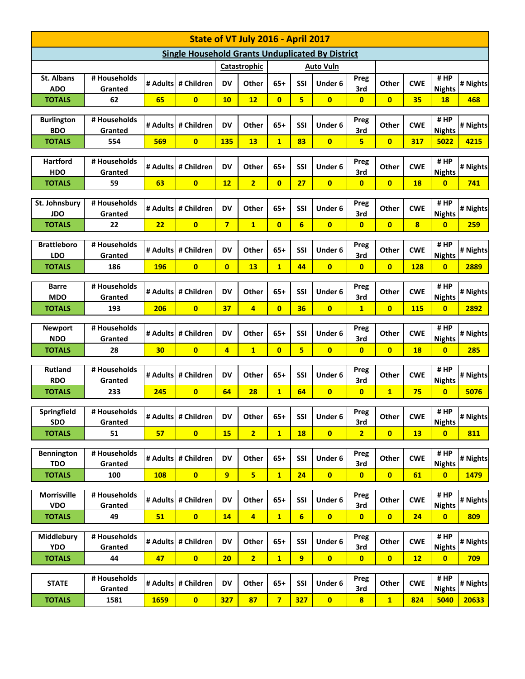| State of VT July 2016 - April 2017                      |                         |                 |                         |                |                         |                |                 |                         |                         |                         |            |                       |          |
|---------------------------------------------------------|-------------------------|-----------------|-------------------------|----------------|-------------------------|----------------|-----------------|-------------------------|-------------------------|-------------------------|------------|-----------------------|----------|
| <b>Single Household Grants Unduplicated By District</b> |                         |                 |                         |                |                         |                |                 |                         |                         |                         |            |                       |          |
|                                                         | Catastrophic            |                 |                         |                |                         | Auto Vuln      |                 |                         |                         |                         |            |                       |          |
| <b>St. Albans</b><br><b>ADO</b>                         | # Households<br>Granted |                 | # Adults # Children     | <b>DV</b>      | Other                   | $65+$          | SSI             | Under 6                 | Preg<br>3rd             | Other                   | <b>CWE</b> | #HP<br><b>Nights</b>  | # Nights |
| <b>TOTALS</b>                                           | 62                      | 65              | $\mathbf{0}$            | 10             | 12                      | $\overline{0}$ | 5               | $\overline{0}$          | $\overline{\mathbf{0}}$ | $\overline{\mathbf{0}}$ | 35         | 18                    | 468      |
|                                                         |                         |                 |                         |                |                         |                |                 |                         |                         |                         |            | #HP                   |          |
| <b>Burlington</b><br><b>BDO</b>                         | # Households<br>Granted |                 | # Adults # Children     | <b>DV</b>      | Other                   | $65+$          | SSI             | Under 6                 | Preg<br>3rd             | Other                   | <b>CWE</b> | <b>Nights</b>         | # Nights |
| <b>TOTALS</b>                                           | 554                     | 569             | $\mathbf{0}$            | 135            | 13                      | $\mathbf{1}$   | 83              | $\mathbf{0}$            | 5.                      | $\overline{0}$          | 317        | 5022                  | 4215     |
| <b>Hartford</b>                                         | # Households            |                 |                         |                |                         |                |                 |                         | Preg                    |                         |            | #HP                   |          |
| <b>HDO</b>                                              | Granted                 |                 | # Adults # Children     | <b>DV</b>      | Other                   | $65+$          | <b>SSI</b>      | Under 6                 | 3rd                     | Other                   | <b>CWE</b> | <b>Nights</b>         | # Nights |
| <b>TOTALS</b>                                           | 59                      | 63              | $\overline{\mathbf{0}}$ | 12             | $\overline{2}$          | $\overline{0}$ | 27              | $\mathbf{0}$            | $\bf{0}$                | $\overline{0}$          | <b>18</b>  | $\mathbf{0}$          | 741      |
| St. Johnsbury<br><b>JDO</b>                             | # Households<br>Granted |                 | # Adults # Children     | <b>DV</b>      | Other                   | $65+$          | SSI             | Under 6                 | Preg<br>3rd             | Other                   | <b>CWE</b> | #HP<br><b>Nights</b>  | # Nights |
| <b>TOTALS</b>                                           | 22                      | 22              | $\overline{0}$          | $\overline{7}$ | $\overline{\mathbf{1}}$ | $\overline{0}$ | $6\overline{6}$ | $\overline{\mathbf{0}}$ | $\overline{0}$          | $\overline{0}$          | 8          | $\overline{0}$        | 259      |
|                                                         |                         |                 |                         |                |                         |                |                 |                         |                         |                         |            |                       |          |
| <b>Brattleboro</b><br><b>LDO</b>                        | # Households<br>Granted |                 | # Adults # Children     | <b>DV</b>      | Other                   | $65+$          | SSI             | Under 6                 | Preg<br>3rd             | Other                   | <b>CWE</b> | #HP<br><b>Nights</b>  | # Nights |
| <b>TOTALS</b>                                           | 186                     | 196             | $\overline{0}$          | $\mathbf{0}$   | 13                      | $\mathbf{1}$   | 44              | $\overline{0}$          | $\bf{0}$                | $\mathbf{0}$            | 128        | $\overline{0}$        | 2889     |
|                                                         |                         |                 |                         |                |                         |                |                 |                         |                         |                         |            |                       |          |
| <b>Barre</b><br><b>MDO</b>                              | # Households<br>Granted |                 | # Adults # Children     | DV             | Other                   | $65+$          | SSI             | Under 6                 | Preg<br>3rd             | Other                   | <b>CWE</b> | #HP<br><b>Nights</b>  | # Nights |
| <b>TOTALS</b>                                           | 193                     | 206             | $\mathbf{0}$            | 37             | 4                       | $\mathbf{0}$   | 36              | $\overline{0}$          | $\mathbf{1}$            | $\mathbf{0}$            | 115        | $\bf{0}$              | 2892     |
|                                                         | # Households            |                 |                         |                |                         |                |                 |                         | Preg                    |                         |            | #HP                   |          |
| <b>Newport</b><br><b>NDO</b>                            | Granted                 |                 | # Adults # Children     | <b>DV</b>      | Other                   | $65+$          | SSI             | Under 6                 | 3rd                     | Other                   | <b>CWE</b> | <b>Nights</b>         | # Nights |
| <b>TOTALS</b>                                           | 28                      | 30 <sub>2</sub> | $\overline{0}$          | $\overline{4}$ | $\mathbf{1}$            | $\mathbf{0}$   | 5 <sup>2</sup>  | $\overline{0}$          | $\bf{0}$                | $\mathbf{0}$            | <b>18</b>  | $\mathbf{0}$          | 285      |
| <b>Rutland</b>                                          | # Households            |                 |                         |                |                         |                |                 |                         | Preg                    |                         |            | #HP                   |          |
| <b>RDO</b>                                              | Granted                 |                 | # Adults # Children     | DV             | Other                   | $65+$          | SSI             | Under 6                 | 3rd                     | Other                   | <b>CWE</b> | <b>Nights</b>         | # Nights |
| <b>TOTALS</b>                                           | 233                     | 245             | $\overline{0}$          | 64             | 28                      | $\overline{1}$ | 64              | $\overline{0}$          | $\mathbf{0}$            | $\mathbf{1}$            | 75         | $\mathbf{0}$          | 5076     |
| Springfield                                             | # Households            |                 |                         |                |                         |                |                 |                         | Preg                    |                         |            | #HP                   |          |
| <b>SDO</b>                                              | Granted                 |                 | # Adults # Children     | <b>DV</b>      | Other                   | $65+$          | SSI             | Under 6                 | 3rd                     | Other                   | <b>CWE</b> | <b>Nights</b>         | # Nights |
| <b>TOTALS</b>                                           | 51                      | 57              | $\overline{0}$          | 15             | $\overline{2}$          | $\overline{1}$ | 18              | $\mathbf{0}$            | 2 <sup>1</sup>          | $\bullet$               | 13         | $\overline{0}$        | 811      |
| <b>Bennington</b>                                       | # Households            |                 |                         |                |                         |                |                 |                         | Preg                    |                         |            | #HP                   |          |
| <b>TDO</b>                                              | Granted                 |                 | # Adults # Children     | <b>DV</b>      | Other                   | $65+$          | SSI             | Under 6                 | 3rd                     | Other                   | <b>CWE</b> | <b>Nights</b>         | # Nights |
| <b>TOTALS</b>                                           | 100                     | <b>108</b>      | $\bullet$               | $\overline{9}$ | 5                       | $\mathbf{1}$   | 24              | $\bullet$               | $\mathbf{0}$            | $\bullet$               | 61         | $\mathbf{0}$          | 1479     |
| <b>Morrisville</b>                                      | # Households            |                 |                         |                |                         |                |                 |                         | Preg                    |                         |            | #HP                   |          |
| <b>VDO</b>                                              | Granted                 |                 | # Adults # Children     | <b>DV</b>      | Other                   | $65+$          | SSI             | Under 6                 | 3rd                     | Other                   | <b>CWE</b> | <b>Nights</b>         | # Nights |
| <b>TOTALS</b>                                           | 49                      | 51              | $\bullet$               | 14             | 4                       | $\mathbf{1}$   | $6\phantom{1}$  | $\overline{\mathbf{0}}$ | $\mathbf{0}$            | $\overline{0}$          | 24         | $\mathbf{0}$          | 809      |
| Middlebury                                              | # Households            |                 |                         |                |                         |                |                 |                         | Preg                    |                         |            | #HP                   |          |
| <b>YDO</b>                                              | Granted                 |                 | # Adults # Children     | <b>DV</b>      | Other                   | $65+$          | SSI             | Under 6                 | 3rd                     | Other                   | <b>CWE</b> | <b>Nights</b>         | # Nights |
| <b>TOTALS</b>                                           | 44                      | 47              | $\bullet$               | 20             | $\overline{2}$          | $\mathbf{1}$   | 9               | $\overline{\mathbf{0}}$ | $\mathbf{0}$            | $\overline{0}$          | 12         | $\mathbf{0}$          | 709      |
| <b>STATE</b>                                            | # Households            |                 | # Adults # Children     | <b>DV</b>      | Other                   | $65+$          | SSI             | Under 6                 | <b>Preg</b>             | Other                   | <b>CWE</b> | #HP                   | # Nights |
| <b>TOTALS</b>                                           | Granted<br>1581         | 1659            | $\bullet$               | 327            | 87                      | $\overline{7}$ | 327             | $\bullet$               | 3rd<br>$\boldsymbol{8}$ | $\mathbf{1}$            | 824        | <b>Nights</b><br>5040 | 20633    |
|                                                         |                         |                 |                         |                |                         |                |                 |                         |                         |                         |            |                       |          |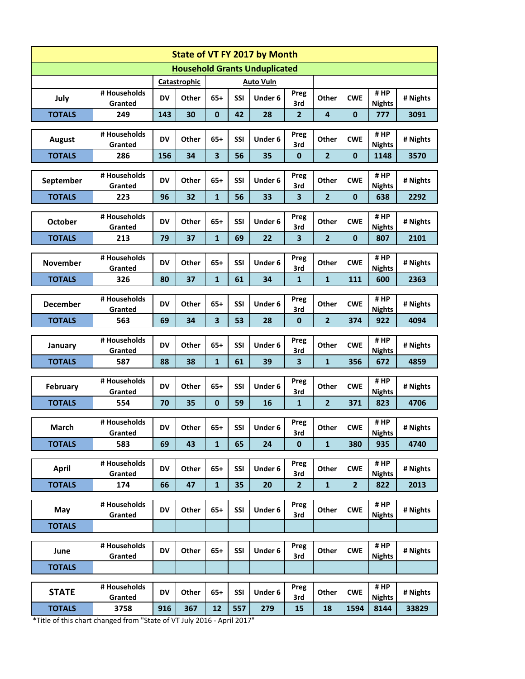| State of VT FY 2017 by Month         |                         |           |       |                         |            |         |                         |                         |                |                       |          |
|--------------------------------------|-------------------------|-----------|-------|-------------------------|------------|---------|-------------------------|-------------------------|----------------|-----------------------|----------|
| <b>Household Grants Unduplicated</b> |                         |           |       |                         |            |         |                         |                         |                |                       |          |
| Catastrophic<br><b>Auto Vuln</b>     |                         |           |       |                         |            |         |                         |                         |                |                       |          |
| July                                 | # Households<br>Granted | <b>DV</b> | Other | $65+$                   | <b>SSI</b> | Under 6 | Preg<br>3rd             | Other                   | <b>CWE</b>     | #HP<br><b>Nights</b>  | # Nights |
| <b>TOTALS</b>                        | 249                     | 143       | 30    | $\mathbf 0$             | 42         | 28      | $\overline{2}$          | $\overline{\mathbf{4}}$ | $\mathbf{0}$   | 777                   | 3091     |
|                                      |                         |           |       |                         |            |         |                         |                         |                | #HP                   |          |
| <b>August</b>                        | # Households<br>Granted | <b>DV</b> | Other | $65+$                   | SSI        | Under 6 | Preg<br>3rd             | Other                   | <b>CWE</b>     | <b>Nights</b>         | # Nights |
| <b>TOTALS</b>                        | 286                     | 156       | 34    | $\overline{\mathbf{3}}$ | 56         | 35      | $\mathbf 0$             | $\overline{2}$          | $\mathbf{0}$   | 1148                  | 3570     |
|                                      | # Households            |           |       |                         |            |         | Preg                    |                         |                | #HP                   |          |
| September                            | Granted                 | <b>DV</b> | Other | $65+$                   | SSI        | Under 6 | 3rd                     | Other                   | <b>CWE</b>     | <b>Nights</b>         | # Nights |
| <b>TOTALS</b>                        | 223                     | 96        | 32    | $\mathbf{1}$            | 56         | 33      | 3                       | $\overline{2}$          | $\mathbf{0}$   | 638                   | 2292     |
| <b>October</b>                       | # Households<br>Granted | <b>DV</b> | Other | $65+$                   | SSI        | Under 6 | Preg<br>3rd             | Other                   | <b>CWE</b>     | #HP<br><b>Nights</b>  | # Nights |
| <b>TOTALS</b>                        | 213                     | 79        | 37    | $\mathbf{1}$            | 69         | 22      | 3                       | $\overline{2}$          | $\mathbf{0}$   | 807                   | 2101     |
|                                      | # Households            |           |       |                         |            |         | Preg                    |                         |                | #HP                   |          |
| November                             | Granted                 | <b>DV</b> | Other | $65+$                   | SSI        | Under 6 | 3rd                     | Other                   | <b>CWE</b>     | <b>Nights</b>         | # Nights |
| <b>TOTALS</b>                        | 326                     | 80        | 37    | $\mathbf{1}$            | 61         | 34      | $\mathbf{1}$            | $\mathbf{1}$            | 111            | 600                   | 2363     |
|                                      | # Households            |           |       |                         |            |         | Preg                    |                         |                | #HP                   |          |
| <b>December</b>                      | Granted                 | <b>DV</b> | Other | $65+$                   | SSI        | Under 6 | 3rd                     | Other                   | <b>CWE</b>     | <b>Nights</b>         | # Nights |
| <b>TOTALS</b>                        | 563                     | 69        | 34    | $\overline{\mathbf{3}}$ | 53         | 28      | $\bf{0}$                | $\overline{2}$          | 374            | 922                   | 4094     |
| January                              | # Households<br>Granted | <b>DV</b> | Other | $65+$                   | SSI        | Under 6 | Preg<br>3rd             | Other                   | <b>CWE</b>     | #HP<br><b>Nights</b>  | # Nights |
| <b>TOTALS</b>                        | 587                     | 88        | 38    | $\mathbf{1}$            | 61         | 39      | $\overline{\mathbf{3}}$ | $\mathbf{1}$            | 356            | 672                   | 4859     |
|                                      | # Households            |           |       |                         |            |         |                         |                         |                | #HP                   |          |
| February                             | Granted                 | <b>DV</b> | Other | $65+$                   | SSI        | Under 6 | Preg<br>3rd             | Other                   | <b>CWE</b>     | <b>Nights</b>         | # Nights |
| <b>TOTALS</b>                        | 554                     | 70        | 35    | $\mathbf 0$             | 59         | 16      | $\mathbf{1}$            | $\overline{2}$          | 371            | 823                   | 4706     |
|                                      | # Households            |           |       |                         |            |         | Preg                    |                         |                | # HP                  |          |
| March                                | Granted                 | <b>DV</b> | Other | $65+$                   | SSI        | Under 6 | 3rd                     | Other                   | <b>CWE</b>     | <b>Nights</b>         | # Nights |
| <b>TOTALS</b>                        | 583                     | 69        | 43    | $\mathbf{1}$            | 65         | 24      | $\mathbf 0$             | $\mathbf{1}$            | 380            | 935                   | 4740     |
|                                      | # Households            |           |       |                         |            |         | Preg                    |                         |                | #HP                   |          |
| <b>April</b>                         | Granted                 | DV        | Other | $65+$                   | SSI        | Under 6 | 3rd                     | Other                   | <b>CWE</b>     | <b>Nights</b>         | # Nights |
| <b>TOTALS</b>                        | 174                     | 66        | 47    | $\mathbf{1}$            | 35         | 20      | $\overline{2}$          | $\mathbf 1$             | $\overline{2}$ | 822                   | 2013     |
| May                                  | # Households<br>Granted | DV        | Other | $65+$                   | SSI        | Under 6 | Preg<br>3rd             | Other                   | <b>CWE</b>     | #HP<br><b>Nights</b>  | # Nights |
| <b>TOTALS</b>                        |                         |           |       |                         |            |         |                         |                         |                |                       |          |
|                                      |                         |           |       |                         |            |         |                         |                         |                |                       |          |
| June                                 | # Households<br>Granted | DV        | Other | $65+$                   | SSI        | Under 6 | Preg<br>3rd             | Other                   | <b>CWE</b>     | # HP<br><b>Nights</b> | # Nights |
| <b>TOTALS</b>                        |                         |           |       |                         |            |         |                         |                         |                |                       |          |
| <b>STATE</b>                         | # Households            | DV        | Other | $65+$                   | SSI        | Under 6 | Preg                    | Other                   | <b>CWE</b>     | #HP                   | # Nights |
| <b>TOTALS</b>                        | Granted<br>3758         | 916       | 367   | 12                      | 557        | 279     | 3rd<br>15               | 18                      | 1594           | <b>Nights</b><br>8144 | 33829    |
|                                      |                         |           |       |                         |            |         |                         |                         |                |                       |          |

\*Title of this chart changed from "State of VT July 2016 - April 2017"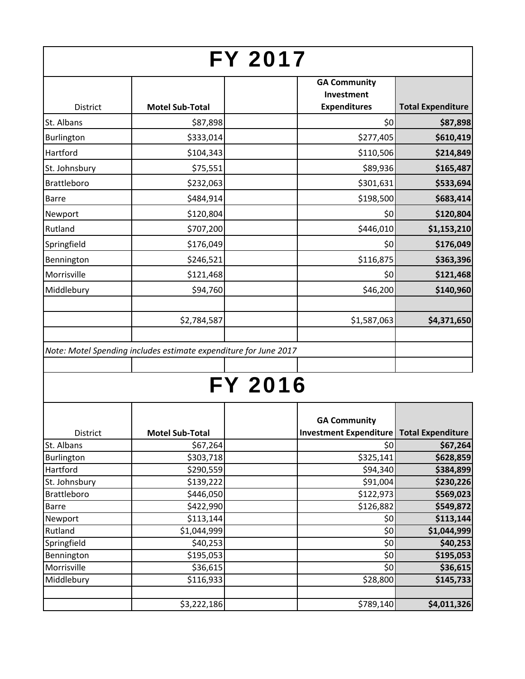|                    |                                                                  | <b>FY 2017</b> |                                                                 |                          |
|--------------------|------------------------------------------------------------------|----------------|-----------------------------------------------------------------|--------------------------|
|                    |                                                                  |                | <b>GA Community</b><br>Investment                               |                          |
| <b>District</b>    | <b>Motel Sub-Total</b>                                           |                | <b>Expenditures</b>                                             | <b>Total Expenditure</b> |
| St. Albans         | \$87,898                                                         |                | \$0                                                             | \$87,898                 |
| Burlington         | \$333,014                                                        |                | \$277,405                                                       | \$610,419                |
| Hartford           | \$104,343                                                        |                | \$110,506                                                       | \$214,849                |
| St. Johnsbury      | \$75,551                                                         |                | \$89,936                                                        | \$165,487                |
| Brattleboro        | \$232,063                                                        |                | \$301,631                                                       | \$533,694                |
| <b>Barre</b>       | \$484,914                                                        |                | \$198,500                                                       | \$683,414                |
| Newport            | \$120,804                                                        |                | \$0                                                             | \$120,804                |
| Rutland            | \$707,200                                                        |                | \$446,010                                                       | \$1,153,210              |
| Springfield        | \$176,049                                                        |                | \$0                                                             | \$176,049                |
| Bennington         | \$246,521                                                        |                | \$116,875                                                       | \$363,396                |
| Morrisville        | \$121,468                                                        |                | \$0                                                             | \$121,468                |
| Middlebury         | \$94,760                                                         |                | \$46,200                                                        | \$140,960                |
|                    |                                                                  |                |                                                                 |                          |
|                    | \$2,784,587                                                      |                | \$1,587,063                                                     | \$4,371,650              |
|                    | Note: Motel Spending includes estimate expenditure for June 2017 | <b>FY 2016</b> |                                                                 |                          |
| District           | <b>Motel Sub-Total</b>                                           |                | <b>GA Community</b><br>Investment Expenditure Total Expenditure |                          |
| St. Albans         | \$67,264                                                         |                | \$0                                                             | \$67,264                 |
| Burlington         | \$303,718                                                        |                | \$325,141                                                       | \$628,859                |
| Hartford           | \$290,559                                                        |                | \$94,340                                                        | \$384,899                |
| St. Johnsbury      | \$139,222                                                        |                | \$91,004                                                        | \$230,226                |
| <b>Brattleboro</b> | \$446,050                                                        |                | \$122,973                                                       | \$569,023                |
| Barre              | \$422,990                                                        |                | \$126,882                                                       | \$549,872                |
| Newport            | \$113,144                                                        |                | \$0                                                             | \$113,144                |
| Rutland            | \$1,044,999                                                      |                | \$0                                                             | \$1,044,999              |
| Springfield        | \$40,253                                                         |                | \$0                                                             | \$40,253                 |
| Bennington         | \$195,053                                                        |                | \$0                                                             | \$195,053                |
| Morrisville        | \$36,615                                                         |                | \$0                                                             | \$36,615                 |
| Middlebury         | \$116,933                                                        |                | \$28,800                                                        | \$145,733                |
|                    | \$3,222,186                                                      |                | \$789,140                                                       | \$4,011,326              |